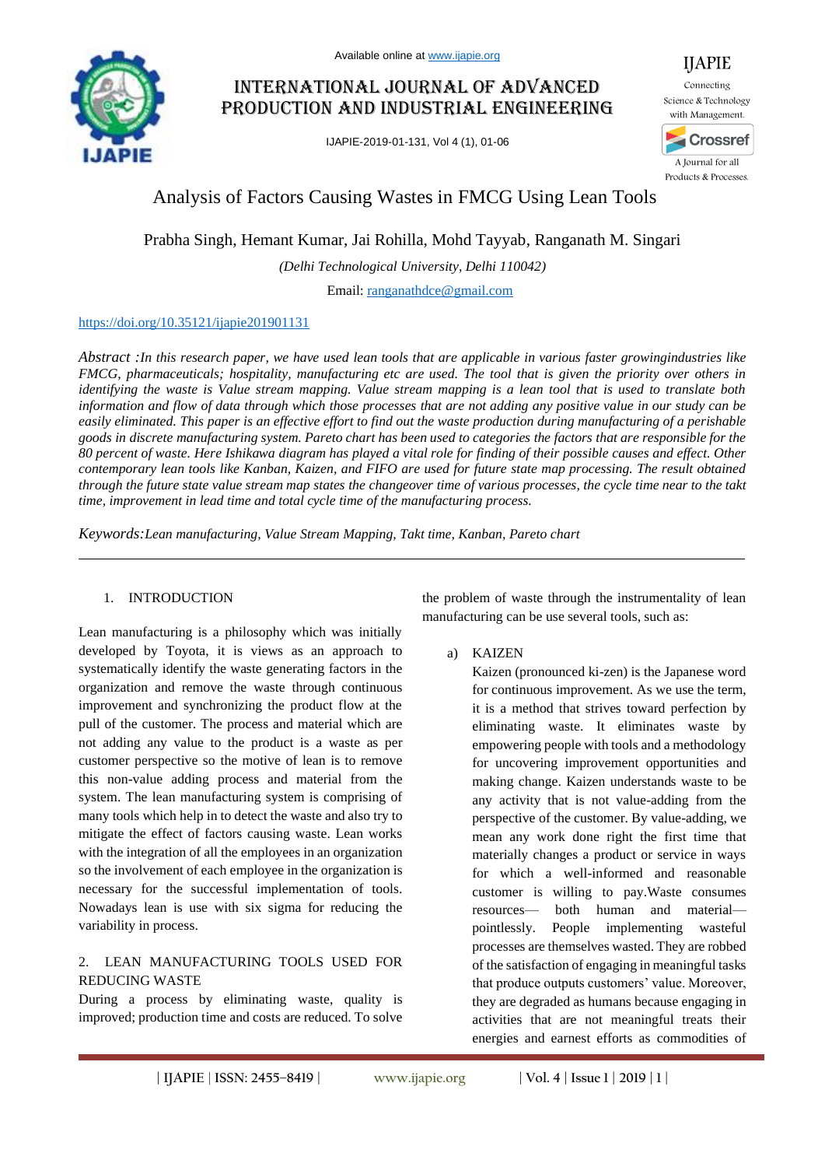

# International Journal of Advanced Production and Industrial Engineering

IJAPIE-2019-01-131, Vol 4 (1), 01-06



IJAPIE

## Analysis of Factors Causing Wastes in FMCG Using Lean Tools

Prabha Singh, Hemant Kumar, Jai Rohilla, Mohd Tayyab, Ranganath M. Singari

*(Delhi Technological University, Delhi 110042)*

Email: [ranganathdce@gmail.com](mailto:ranganathdce@gmail.com)

## <https://doi.org/10.35121/ijapie201901131>

*Abstract :In this research paper, we have used lean tools that are applicable in various faster growingindustries like FMCG, pharmaceuticals; hospitality, manufacturing etc are used. The tool that is given the priority over others in identifying the waste is Value stream mapping. Value stream mapping is a lean tool that is used to translate both information and flow of data through which those processes that are not adding any positive value in our study can be easily eliminated. This paper is an effective effort to find out the waste production during manufacturing of a perishable goods in discrete manufacturing system. Pareto chart has been used to categories the factors that are responsible for the 80 percent of waste. Here Ishikawa diagram has played a vital role for finding of their possible causes and effect. Other contemporary lean tools like Kanban, Kaizen, and FIFO are used for future state map processing. The result obtained through the future state value stream map states the changeover time of various processes, the cycle time near to the takt time, improvement in lead time and total cycle time of the manufacturing process.*

*Keywords:Lean manufacturing, Value Stream Mapping, Takt time, Kanban, Pareto chart*

## 1. INTRODUCTION

Lean manufacturing is a philosophy which was initially developed by Toyota, it is views as an approach to systematically identify the waste generating factors in the organization and remove the waste through continuous improvement and synchronizing the product flow at the pull of the customer. The process and material which are not adding any value to the product is a waste as per customer perspective so the motive of lean is to remove this non-value adding process and material from the system. The lean manufacturing system is comprising of many tools which help in to detect the waste and also try to mitigate the effect of factors causing waste. Lean works with the integration of all the employees in an organization so the involvement of each employee in the organization is necessary for the successful implementation of tools. Nowadays lean is use with six sigma for reducing the variability in process.

## 2. LEAN MANUFACTURING TOOLS USED FOR REDUCING WASTE

During a process by eliminating waste, quality is improved; production time and costs are reduced. To solve the problem of waste through the instrumentality of lean manufacturing can be use several tools, such as:

a) KAIZEN

Kaizen (pronounced ki-zen) is the Japanese word for continuous improvement. As we use the term, it is a method that strives toward perfection by eliminating waste. It eliminates waste by empowering people with tools and a methodology for uncovering improvement opportunities and making change. Kaizen understands waste to be any activity that is not value-adding from the perspective of the customer. By value-adding, we mean any work done right the first time that materially changes a product or service in ways for which a well-informed and reasonable customer is willing to pay.Waste consumes resources— both human and material pointlessly. People implementing wasteful processes are themselves wasted. They are robbed of the satisfaction of engaging in meaningful tasks that produce outputs customers' value. Moreover, they are degraded as humans because engaging in activities that are not meaningful treats their energies and earnest efforts as commodities of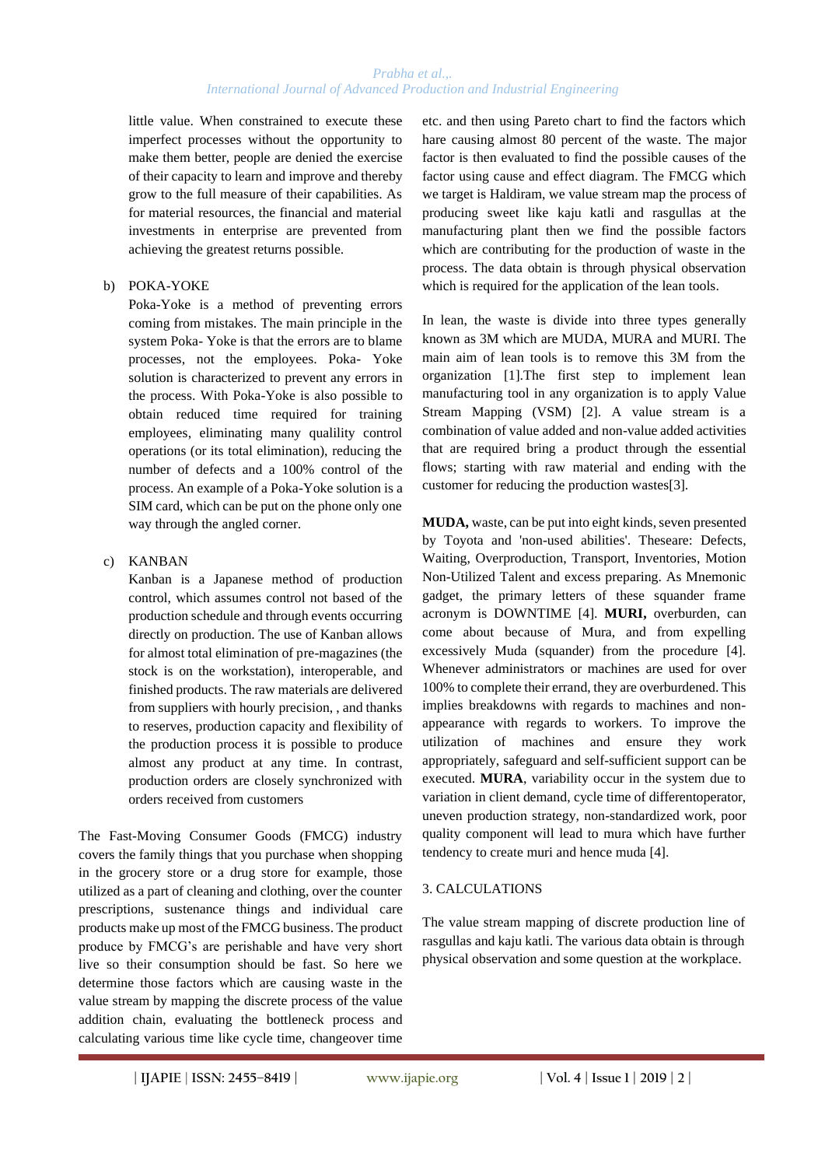## *Prabha et al.,. International Journal of Advanced Production and Industrial Engineering*

little value. When constrained to execute these imperfect processes without the opportunity to make them better, people are denied the exercise of their capacity to learn and improve and thereby grow to the full measure of their capabilities. As for material resources, the financial and material investments in enterprise are prevented from achieving the greatest returns possible.

## b) POKA-YOKE

Poka-Yoke is a method of preventing errors coming from mistakes. The main principle in the system Poka- Yoke is that the errors are to blame processes, not the employees. Poka- Yoke solution is characterized to prevent any errors in the process. With Poka-Yoke is also possible to obtain reduced time required for training employees, eliminating many qualility control operations (or its total elimination), reducing the number of defects and a 100% control of the process. An example of a Poka-Yoke solution is a SIM card, which can be put on the phone only one way through the angled corner.

## c) KANBAN

Kanban is a Japanese method of production control, which assumes control not based of the production schedule and through events occurring directly on production. The use of Kanban allows for almost total elimination of pre-magazines (the stock is on the workstation), interoperable, and finished products. The raw materials are delivered from suppliers with hourly precision, , and thanks to reserves, production capacity and flexibility of the production process it is possible to produce almost any product at any time. In contrast, production orders are closely synchronized with orders received from customers

The Fast-Moving Consumer Goods (FMCG) industry covers the family things that you purchase when shopping in the grocery store or a drug store for example, those utilized as a part of cleaning and clothing, over the counter prescriptions, sustenance things and individual care products make up most of the FMCG business. The product produce by FMCG's are perishable and have very short live so their consumption should be fast. So here we determine those factors which are causing waste in the value stream by mapping the discrete process of the value addition chain, evaluating the bottleneck process and calculating various time like cycle time, changeover time

etc. and then using Pareto chart to find the factors which hare causing almost 80 percent of the waste. The major factor is then evaluated to find the possible causes of the factor using cause and effect diagram. The FMCG which we target is Haldiram, we value stream map the process of producing sweet like kaju katli and rasgullas at the manufacturing plant then we find the possible factors which are contributing for the production of waste in the process. The data obtain is through physical observation which is required for the application of the lean tools.

In lean, the waste is divide into three types generally known as 3M which are MUDA, MURA and MURI. The main aim of lean tools is to remove this 3M from the organization [1].The first step to implement lean manufacturing tool in any organization is to apply Value Stream Mapping (VSM) [2]. A value stream is a combination of value added and non-value added activities that are required bring a product through the essential flows; starting with raw material and ending with the customer for reducing the production wastes[3].

**MUDA,** waste, can be put into eight kinds, seven presented by Toyota and 'non-used abilities'. Theseare: Defects, Waiting, Overproduction, Transport, Inventories, Motion Non-Utilized Talent and excess preparing. As Mnemonic gadget, the primary letters of these squander frame acronym is DOWNTIME [4]. **MURI,** overburden, can come about because of Mura, and from expelling excessively Muda (squander) from the procedure [4]. Whenever administrators or machines are used for over 100% to complete their errand, they are overburdened. This implies breakdowns with regards to machines and nonappearance with regards to workers. To improve the utilization of machines and ensure they work appropriately, safeguard and self-sufficient support can be executed. **MURA**, variability occur in the system due to variation in client demand, cycle time of differentoperator, uneven production strategy, non-standardized work, poor quality component will lead to mura which have further tendency to create muri and hence muda [4].

## 3. CALCULATIONS

The value stream mapping of discrete production line of rasgullas and kaju katli. The various data obtain is through physical observation and some question at the workplace.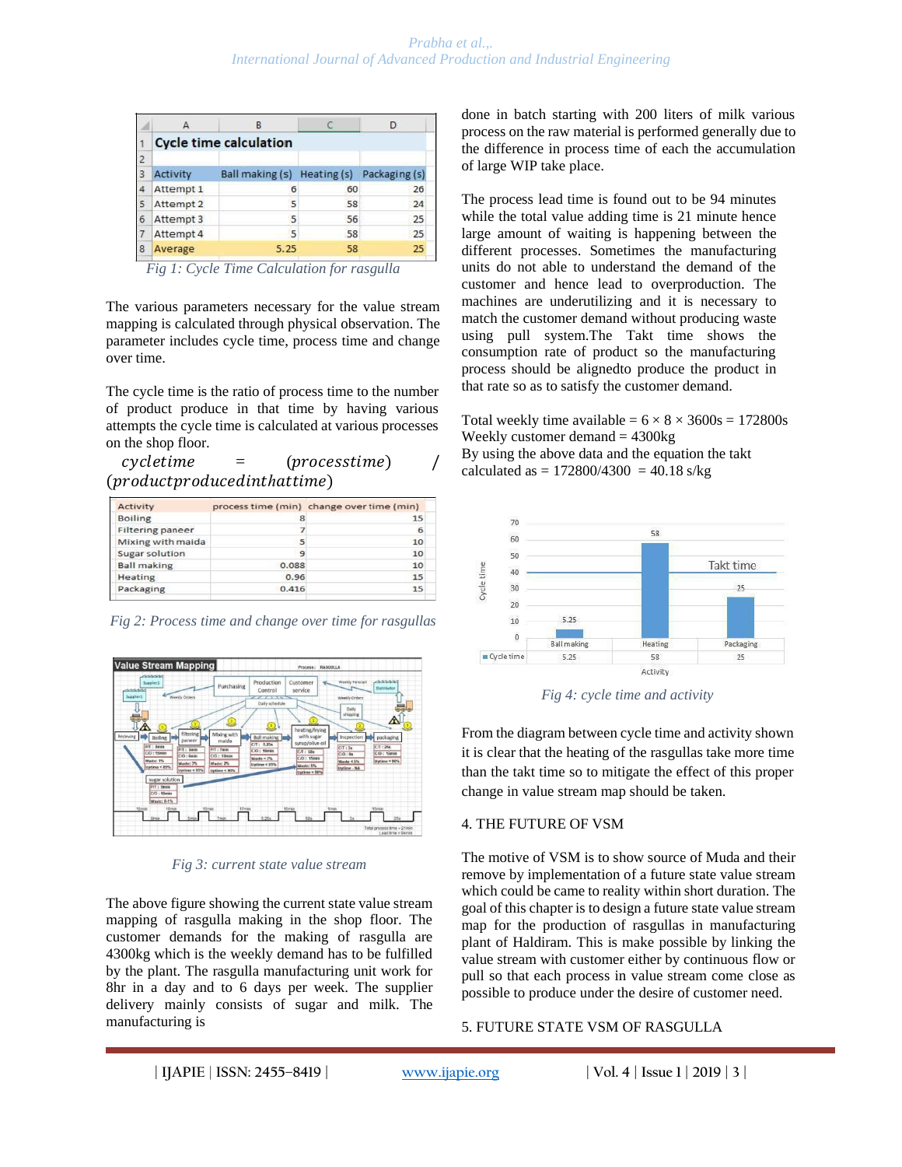|   |                               | B               |             |               |  |  |
|---|-------------------------------|-----------------|-------------|---------------|--|--|
|   | <b>Cycle time calculation</b> |                 |             |               |  |  |
|   |                               |                 |             |               |  |  |
| 3 | <b>Activity</b>               | Ball making (s) | Heating (s) | Packaging (s) |  |  |
| 4 | Attempt 1                     | 6               | 60          | 26            |  |  |
| 5 | Attempt 2                     | 5               | 58          | 24            |  |  |
| 6 | Attempt 3                     | 5               | 56          | 25            |  |  |
|   | Attempt 4                     | 5               | 58          | 25            |  |  |
| 8 | Average                       | 5.25            | 58          | 25            |  |  |

*Fig 1: Cycle Time Calculation for rasgulla*

The various parameters necessary for the value stream mapping is calculated through physical observation. The parameter includes cycle time, process time and change over time.

The cycle time is the ratio of process time to the number of product produce in that time by having various attempts the cycle time is calculated at various processes on the shop floor.

 $cyclic time = (process time)$  $(product produced in that time)$ 

| Activity                | process time (min) | change over time (min) |
|-------------------------|--------------------|------------------------|
| <b>Boiling</b>          | 8                  | 15                     |
| <b>Filtering paneer</b> |                    | 6                      |
| Mixing with maida       | 5                  | 10                     |
| <b>Sugar solution</b>   | 9                  | 10                     |
| <b>Ball making</b>      | 0.088              | 10                     |
| Heating                 | 0.96               | 15                     |
| Packaging               | 0.416              | 15                     |

*Fig 2: Process time and change over time for rasgullas*



*Fig 3: current state value stream*

The above figure showing the current state value stream mapping of rasgulla making in the shop floor. The customer demands for the making of rasgulla are 4300kg which is the weekly demand has to be fulfilled by the plant. The rasgulla manufacturing unit work for 8hr in a day and to 6 days per week. The supplier delivery mainly consists of sugar and milk. The manufacturing is

done in batch starting with 200 liters of milk various process on the raw material is performed generally due to the difference in process time of each the accumulation of large WIP take place.

The process lead time is found out to be 94 minutes while the total value adding time is 21 minute hence large amount of waiting is happening between the different processes. Sometimes the manufacturing units do not able to understand the demand of the customer and hence lead to overproduction. The machines are underutilizing and it is necessary to match the customer demand without producing waste using pull system.The Takt time shows the consumption rate of product so the manufacturing process should be alignedto produce the product in that rate so as to satisfy the customer demand.

Total weekly time available =  $6 \times 8 \times 3600s = 172800s$ Weekly customer demand = 4300kg By using the above data and the equation the takt calculated as =  $172800/4300 = 40.18$  s/kg



*Fig 4: cycle time and activity*

From the diagram between cycle time and activity shown it is clear that the heating of the rasgullas take more time than the takt time so to mitigate the effect of this proper change in value stream map should be taken.

## 4. THE FUTURE OF VSM

The motive of VSM is to show source of Muda and their remove by implementation of a future state value stream which could be came to reality within short duration. The goal of this chapter is to design a future state value stream map for the production of rasgullas in manufacturing plant of Haldiram. This is make possible by linking the value stream with customer either by continuous flow or pull so that each process in value stream come close as possible to produce under the desire of customer need.

## 5. FUTURE STATE VSM OF RASGULLA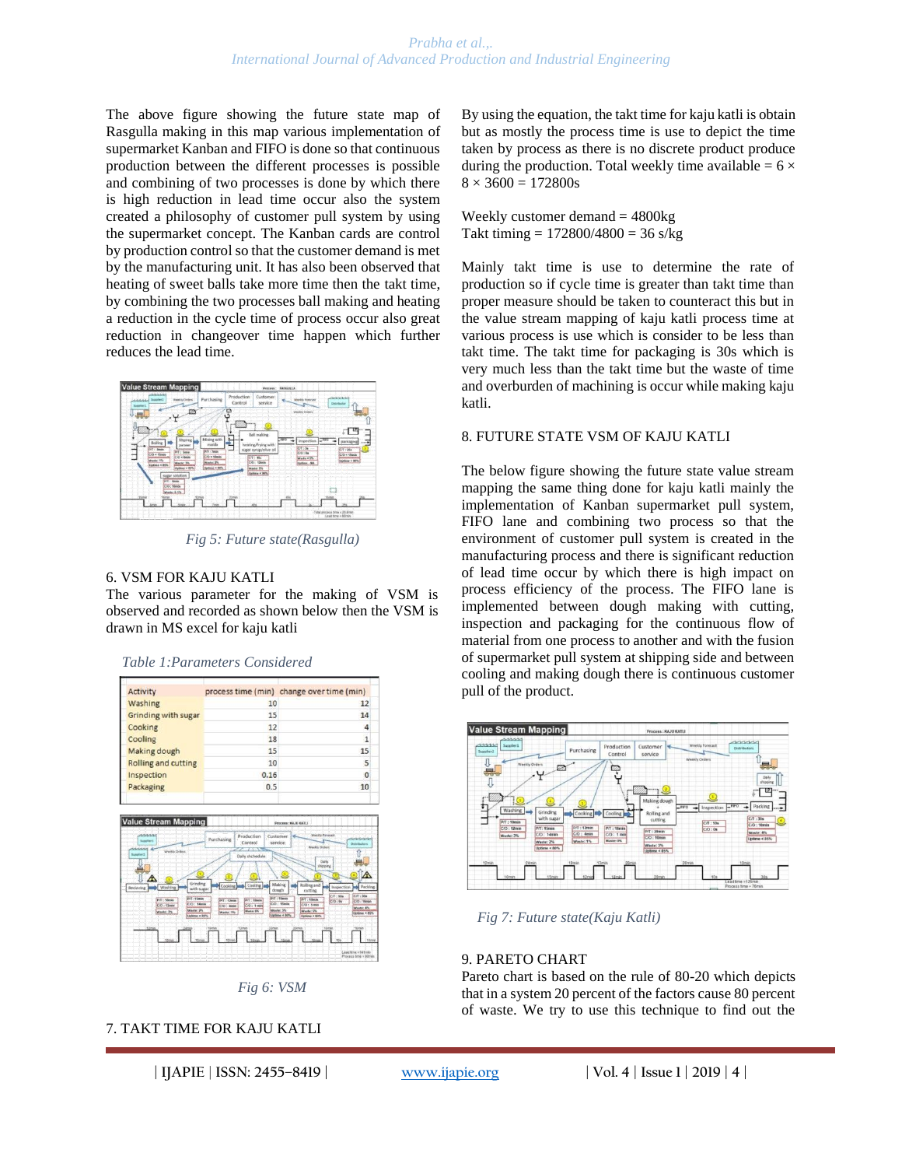The above figure showing the future state map of Rasgulla making in this map various implementation of supermarket Kanban and FIFO is done so that continuous production between the different processes is possible and combining of two processes is done by which there is high reduction in lead time occur also the system created a philosophy of customer pull system by using the supermarket concept. The Kanban cards are control by production control so that the customer demand is met by the manufacturing unit. It has also been observed that heating of sweet balls take more time then the takt time, by combining the two processes ball making and heating a reduction in the cycle time of process occur also great reduction in changeover time happen which further reduces the lead time.



*Fig 5: Future state(Rasgulla)*

## 6. VSM FOR KAJU KATLI

The various parameter for the making of VSM is observed and recorded as shown below then the VSM is drawn in MS excel for kaju katli

| Activity                                                                  |                                                                              | process time (min) change over time (min)                                                                           |  |
|---------------------------------------------------------------------------|------------------------------------------------------------------------------|---------------------------------------------------------------------------------------------------------------------|--|
| Washing                                                                   | 10                                                                           | 12                                                                                                                  |  |
| Grinding with sugar                                                       | 15                                                                           | 14                                                                                                                  |  |
| Cooking                                                                   | 12                                                                           | 4                                                                                                                   |  |
| Cooling                                                                   | 18                                                                           | $\mathbf{1}$                                                                                                        |  |
| Making dough                                                              | 15                                                                           | 15                                                                                                                  |  |
| <b>Rolling and cutting</b>                                                | 10                                                                           | 5                                                                                                                   |  |
| Inspection                                                                | 0.16                                                                         | $\Omega$                                                                                                            |  |
| Packaging                                                                 | 0.5                                                                          | 10                                                                                                                  |  |
| <b>Value Stream Mapping</b><br>ddatas                                     | Production<br>Purchasing                                                     | Process: KAJU KATLI<br>Weekly Forecast<br>Customer<br>w.<br>diddebraid                                              |  |
| Supplier1<br>deletetet                                                    | Control                                                                      | service<br>Distributors<br><b>Weekly Orders</b>                                                                     |  |
| Weekly Criders<br><b>Supplier!</b>                                        | Dally shchedule                                                              | n<br>Dally                                                                                                          |  |
|                                                                           |                                                                              | shipping                                                                                                            |  |
| ѧ<br>Grinding                                                             | Cooling in<br>Cooking                                                        | ⊿<br>Œ<br>Making<br>Rolling and                                                                                     |  |
| <b>Washing</b><br>with sugar<br><b>P/T: 15min</b>                         |                                                                              | Packing<br>Inspection<br>dough<br>cutting<br>C/T: 504<br>C/T: 50s<br><b>P/T: 15min</b>                              |  |
| Recieving<br>P/E : filmin<br><b>CID : 14min</b><br>CO: 12min<br>Waste: 2% | <b>P/T : 18min</b><br>P/T : 12mm<br>$CO$ : 1 mm<br>$CO:$ dmin.<br>Wester IRC | <b>P/T: 10min</b><br>CO:86<br>CIO : 10min<br>C/O   15min<br>$CSD \leq 5$ min<br>Waste: 4%<br>Wester 3%<br>Washi: 5% |  |
| Waste: 3%<br>Uplies < BPG                                                 | Waste: 1%                                                                    | Uptains < BDS<br>Uptime < 90%                                                                                       |  |
| 12m                                                                       |                                                                              | Uprisma < 85%<br><b>VGH</b>                                                                                         |  |



*Fig 6: VSM*

## 7. TAKT TIME FOR KAJU KATLI

**| IJAPIE** | **ISSN: 2455–8419 | [www.ijapie.org](http://www.ijapie.org/) | Vol. 4 | Issue 1 | 2019 | 4 |**

By using the equation, the takt time for kaju katli is obtain but as mostly the process time is use to depict the time taken by process as there is no discrete product produce during the production. Total weekly time available =  $6 \times$  $8 \times 3600 = 172800s$ 

Weekly customer demand = 4800kg Takt timing =  $172800/4800 = 36$  s/kg

Mainly takt time is use to determine the rate of production so if cycle time is greater than takt time than proper measure should be taken to counteract this but in the value stream mapping of kaju katli process time at various process is use which is consider to be less than takt time. The takt time for packaging is 30s which is very much less than the takt time but the waste of time and overburden of machining is occur while making kaju katli.

## 8. FUTURE STATE VSM OF KAJU KATLI

The below figure showing the future state value stream mapping the same thing done for kaju katli mainly the implementation of Kanban supermarket pull system, FIFO lane and combining two process so that the environment of customer pull system is created in the manufacturing process and there is significant reduction of lead time occur by which there is high impact on process efficiency of the process. The FIFO lane is implemented between dough making with cutting, inspection and packaging for the continuous flow of material from one process to another and with the fusion of supermarket pull system at shipping side and between cooling and making dough there is continuous customer pull of the product.



*Fig 7: Future state(Kaju Katli)*

## 9. PARETO CHART

Pareto chart is based on the rule of 80-20 which depicts that in a system 20 percent of the factors cause 80 percent of waste. We try to use this technique to find out the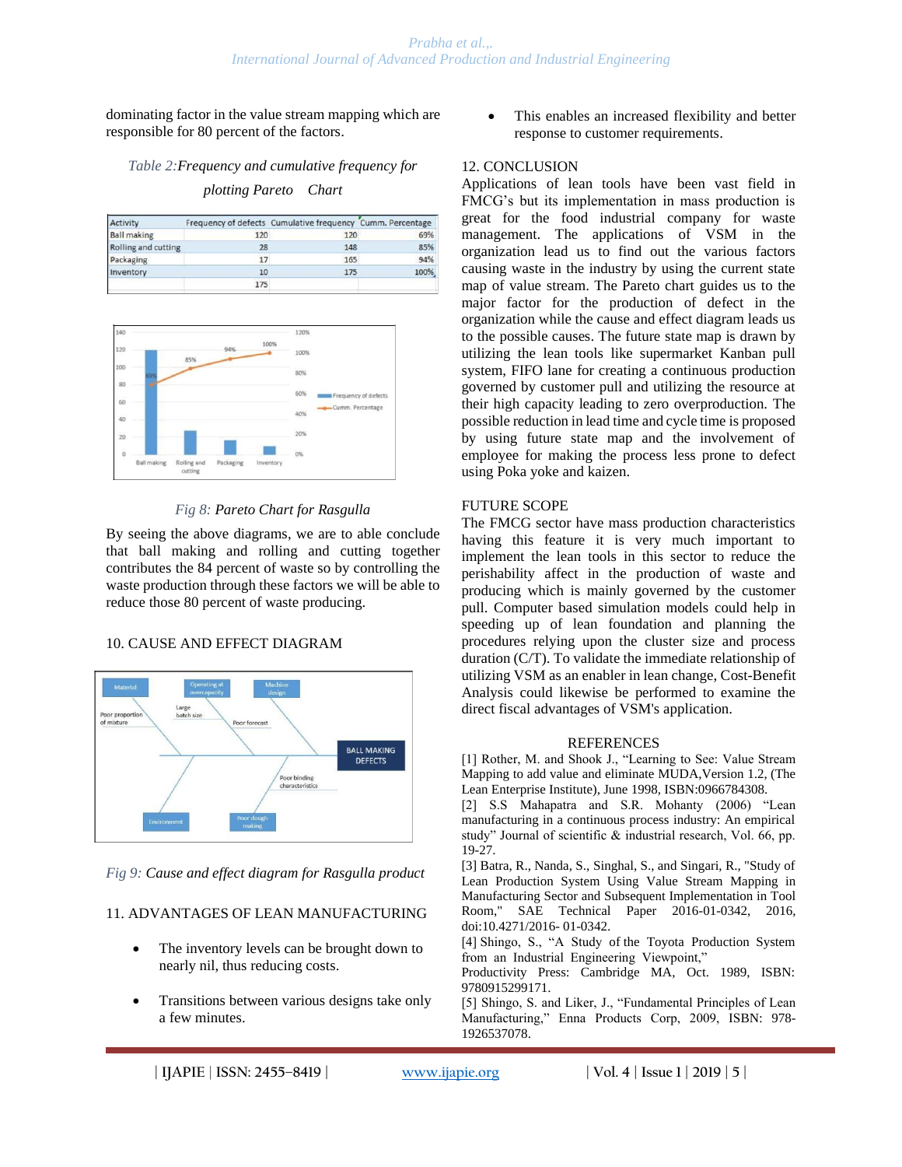dominating factor in the value stream mapping which are responsible for 80 percent of the factors.

## *Table 2:Frequency and cumulative frequency for plotting Pareto Chart*

| Activity            |     | Frequency of defects Cumulative frequency Cumm. Percentage |      |  |
|---------------------|-----|------------------------------------------------------------|------|--|
| <b>Ball making</b>  | 120 | 120                                                        | 69%  |  |
| Rolling and cutting | 28  | 148                                                        | 85%  |  |
| Packaging           | 17  | 165                                                        | 94%  |  |
| Inventory           | 10  | 175                                                        | 100% |  |
|                     | 175 |                                                            |      |  |



## *Fig 8: Pareto Chart for Rasgulla*

By seeing the above diagrams, we are to able conclude that ball making and rolling and cutting together contributes the 84 percent of waste so by controlling the waste production through these factors we will be able to reduce those 80 percent of waste producing.

## 10. CAUSE AND EFFECT DIAGRAM



*Fig 9: Cause and effect diagram for Rasgulla product*

## 11. ADVANTAGES OF LEAN MANUFACTURING

- The inventory levels can be brought down to nearly nil, thus reducing costs.
- Transitions between various designs take only a few minutes.

This enables an increased flexibility and better response to customer requirements.

#### 12. CONCLUSION

Applications of lean tools have been vast field in FMCG's but its implementation in mass production is great for the food industrial company for waste management. The applications of VSM in the organization lead us to find out the various factors causing waste in the industry by using the current state map of value stream. The Pareto chart guides us to the major factor for the production of defect in the organization while the cause and effect diagram leads us to the possible causes. The future state map is drawn by utilizing the lean tools like supermarket Kanban pull system, FIFO lane for creating a continuous production governed by customer pull and utilizing the resource at their high capacity leading to zero overproduction. The possible reduction in lead time and cycle time is proposed by using future state map and the involvement of employee for making the process less prone to defect using Poka yoke and kaizen.

## FUTURE SCOPE

The FMCG sector have mass production characteristics having this feature it is very much important to implement the lean tools in this sector to reduce the perishability affect in the production of waste and producing which is mainly governed by the customer pull. Computer based simulation models could help in speeding up of lean foundation and planning the procedures relying upon the cluster size and process duration (C/T). To validate the immediate relationship of utilizing VSM as an enabler in lean change, Cost-Benefit Analysis could likewise be performed to examine the direct fiscal advantages of VSM's application.

## REFERENCES

[1] Rother, M. and Shook J., "Learning to See: Value Stream Mapping to add value and eliminate MUDA,Version 1.2, (The Lean Enterprise Institute), June 1998, ISBN:0966784308.

[2] S.S Mahapatra and S.R. Mohanty (2006) "Lean manufacturing in a continuous process industry: An empirical study" Journal of scientific & industrial research, Vol. 66, pp. 19-27.

[3] Batra, R., Nanda, S., Singhal, S., and Singari, R., "Study of Lean Production System Using Value Stream Mapping in Manufacturing Sector and Subsequent Implementation in Tool Room," SAE Technical Paper 2016-01-0342, 2016, doi:10.4271/2016- 01-0342.

[4] Shingo, S., "A Study of the Toyota Production System from an Industrial Engineering Viewpoint,"

Productivity Press: Cambridge MA, Oct. 1989, ISBN: 9780915299171.

[5] Shingo, S. and Liker, J., "Fundamental Principles of Lean Manufacturing," Enna Products Corp, 2009, ISBN: 978- 1926537078.